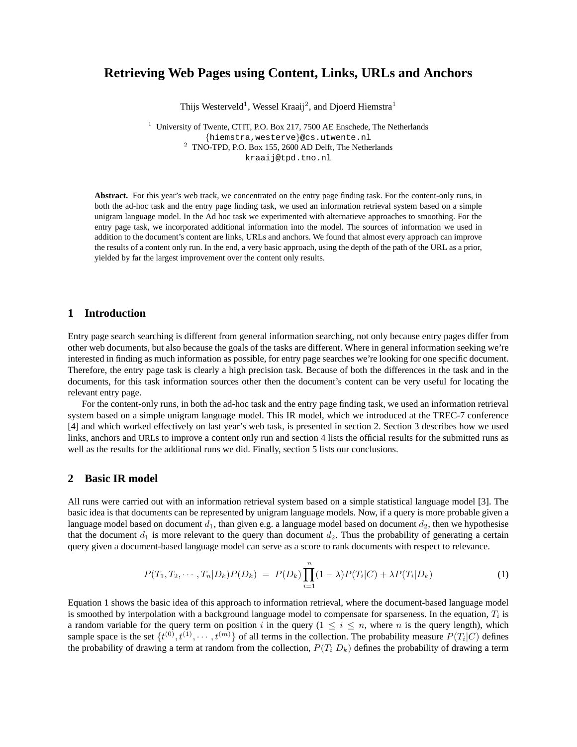# **Retrieving Web Pages using Content, Links, URLs and Anchors**

Thijs Westerveld<sup>1</sup>, Wessel Kraaij<sup>2</sup>, and Djoerd Hiemstra<sup>1</sup>

<sup>1</sup> University of Twente, CTIT, P.O. Box 217, 7500 AE Enschede, The Netherlands {hiemstra,westerve}@cs.utwente.nl <sup>2</sup> TNO-TPD, P.O. Box 155, 2600 AD Delft, The Netherlands kraaij@tpd.tno.nl

**Abstract.** For this year's web track, we concentrated on the entry page finding task. For the content-only runs, in both the ad-hoc task and the entry page finding task, we used an information retrieval system based on a simple unigram language model. In the Ad hoc task we experimented with alternatieve approaches to smoothing. For the entry page task, we incorporated additional information into the model. The sources of information we used in addition to the document's content are links, URLs and anchors. We found that almost every approach can improve the results of a content only run. In the end, a very basic approach, using the depth of the path of the URL as a prior, yielded by far the largest improvement over the content only results.

## **1 Introduction**

Entry page search searching is different from general information searching, not only because entry pages differ from other web documents, but also because the goals of the tasks are different. Where in general information seeking we're interested in finding as much information as possible, for entry page searches we're looking for one specific document. Therefore, the entry page task is clearly a high precision task. Because of both the differences in the task and in the documents, for this task information sources other then the document's content can be very useful for locating the relevant entry page.

For the content-only runs, in both the ad-hoc task and the entry page finding task, we used an information retrieval system based on a simple unigram language model. This IR model, which we introduced at the TREC-7 conference [4] and which worked effectively on last year's web task, is presented in section 2. Section 3 describes how we used links, anchors and URLs to improve a content only run and section 4 lists the official results for the submitted runs as well as the results for the additional runs we did. Finally, section 5 lists our conclusions.

## **2 Basic IR model**

All runs were carried out with an information retrieval system based on a simple statistical language model [3]. The basic idea is that documents can be represented by unigram language models. Now, if a query is more probable given a language model based on document  $d_1$ , than given e.g. a language model based on document  $d_2$ , then we hypothesise that the document  $d_1$  is more relevant to the query than document  $d_2$ . Thus the probability of generating a certain query given a document-based language model can serve as a score to rank documents with respect to relevance.

$$
P(T_1, T_2, \cdots, T_n | D_k) P(D_k) = P(D_k) \prod_{i=1}^n (1 - \lambda) P(T_i | C) + \lambda P(T_i | D_k)
$$
\n(1)

Equation 1 shows the basic idea of this approach to information retrieval, where the document-based language model is smoothed by interpolation with a background language model to compensate for sparseness. In the equation,  $T_i$  is a random variable for the query term on position i in the query ( $1 \le i \le n$ , where n is the query length), which sample space is the set  $\{t^{(0)}, t^{(1)}, \cdots, t^{(m)}\}$  of all terms in the collection. The probability measure  $P(T_i|C)$  defines the probability of drawing a term at random from the collection,  $P(T_i|D_k)$  defines the probability of drawing a term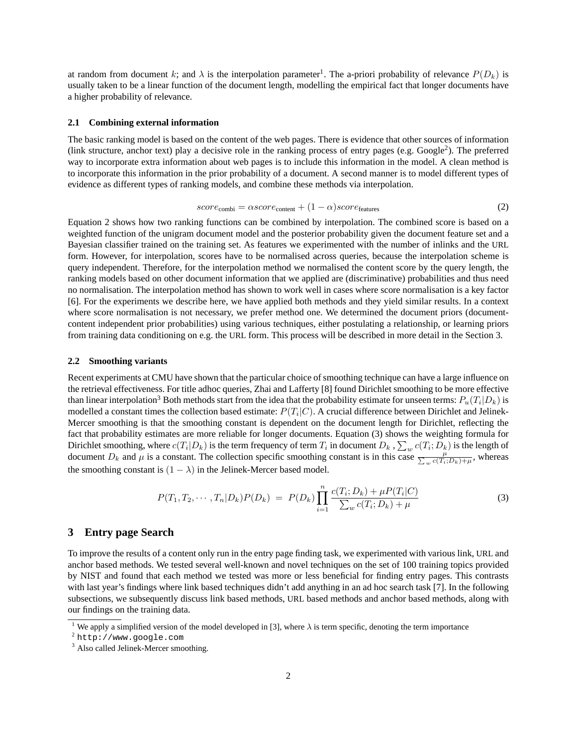at random from document k; and  $\lambda$  is the interpolation parameter<sup>1</sup>. The a-priori probability of relevance  $P(D_k)$  is usually taken to be a linear function of the document length, modelling the empirical fact that longer documents have a higher probability of relevance.

#### **2.1 Combining external information**

The basic ranking model is based on the content of the web pages. There is evidence that other sources of information (link structure, anchor text) play a decisive role in the ranking process of entry pages (e.g. Google<sup>2</sup>). The preferred way to incorporate extra information about web pages is to include this information in the model. A clean method is to incorporate this information in the prior probability of a document. A second manner is to model different types of evidence as different types of ranking models, and combine these methods via interpolation.

$$
score_{\text{combi}} = \alpha score_{\text{content}} + (1 - \alpha) score_{\text{features}} \tag{2}
$$

Equation 2 shows how two ranking functions can be combined by interpolation. The combined score is based on a weighted function of the unigram document model and the posterior probability given the document feature set and a Bayesian classifier trained on the training set. As features we experimented with the number of inlinks and the URL form. However, for interpolation, scores have to be normalised across queries, because the interpolation scheme is query independent. Therefore, for the interpolation method we normalised the content score by the query length, the ranking models based on other document information that we applied are (discriminative) probabilities and thus need no normalisation. The interpolation method has shown to work well in cases where score normalisation is a key factor [6]. For the experiments we describe here, we have applied both methods and they yield similar results. In a context where score normalisation is not necessary, we prefer method one. We determined the document priors (documentcontent independent prior probabilities) using various techniques, either postulating a relationship, or learning priors from training data conditioning on e.g. the URL form. This process will be described in more detail in the Section 3.

#### **2.2 Smoothing variants**

Recent experiments at CMU have shown that the particular choice of smoothing technique can have a large influence on the retrieval effectiveness. For title adhoc queries, Zhai and Lafferty [8] found Dirichlet smoothing to be more effective than linear interpolation<sup>3</sup> Both methods start from the idea that the probability estimate for unseen terms:  $P_u(T_i|D_k)$  is modelled a constant times the collection based estimate:  $P(T_i | C)$ . A crucial difference between Dirichlet and Jelinek-Mercer smoothing is that the smoothing constant is dependent on the document length for Dirichlet, reflecting the fact that probability estimates are more reliable for longer documents. Equation (3) shows the weighting formula for Dirichlet smoothing, where  $c(T_i|D_k)$  is the term frequency of term  $T_i$  in document  $D_k$  ,  $\sum_w c(T_i;D_k)$  is the length of document  $D_k$  and  $\mu$  is a constant. The collection specific smoothing constant is in this case  $\frac{\mu}{\sum_{w} c(T_i; D_k) + \mu}$ , whereas the smoothing constant is  $(1 - \lambda)$  in the Jelinek-Mercer based model.

$$
P(T_1, T_2, \cdots, T_n | D_k) P(D_k) = P(D_k) \prod_{i=1}^n \frac{c(T_i; D_k) + \mu P(T_i | C)}{\sum_w c(T_i; D_k) + \mu}
$$
(3)

### **3 Entry page Search**

To improve the results of a content only run in the entry page finding task, we experimented with various link, URL and anchor based methods. We tested several well-known and novel techniques on the set of 100 training topics provided by NIST and found that each method we tested was more or less beneficial for finding entry pages. This contrasts with last year's findings where link based techniques didn't add anything in an ad hoc search task [7]. In the following subsections, we subsequently discuss link based methods, URL based methods and anchor based methods, along with our findings on the training data.

<sup>&</sup>lt;sup>1</sup> We apply a simplified version of the model developed in [3], where  $\lambda$  is term specific, denoting the term importance

<sup>2</sup> http://www.google.com

<sup>&</sup>lt;sup>3</sup> Also called Jelinek-Mercer smoothing.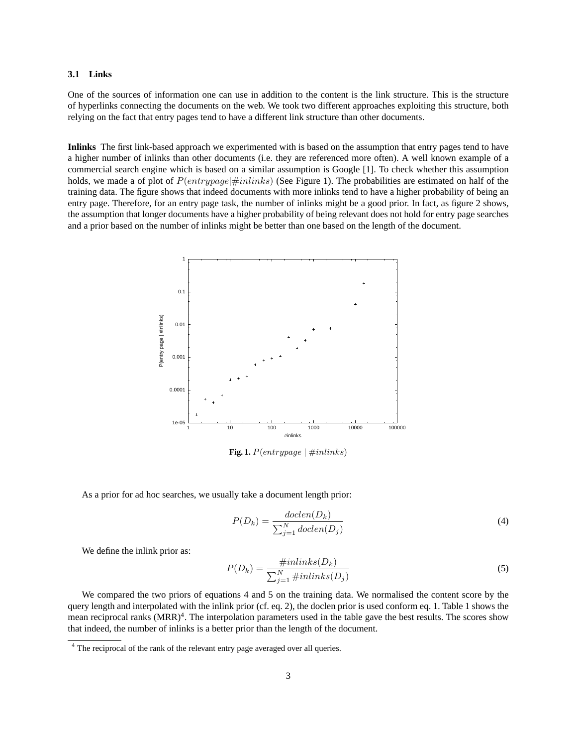#### **3.1 Links**

One of the sources of information one can use in addition to the content is the link structure. This is the structure of hyperlinks connecting the documents on the web. We took two different approaches exploiting this structure, both relying on the fact that entry pages tend to have a different link structure than other documents.

**Inlinks** The first link-based approach we experimented with is based on the assumption that entry pages tend to have a higher number of inlinks than other documents (i.e. they are referenced more often). A well known example of a commercial search engine which is based on a similar assumption is Google [1]. To check whether this assumption holds, we made a of plot of  $P(entrypage | \#inlinks)$  (See Figure 1). The probabilities are estimated on half of the training data. The figure shows that indeed documents with more inlinks tend to have a higher probability of being an entry page. Therefore, for an entry page task, the number of inlinks might be a good prior. In fact, as figure 2 shows, the assumption that longer documents have a higher probability of being relevant does not hold for entry page searches and a prior based on the number of inlinks might be better than one based on the length of the document.



**Fig. 1.**  $P(entrypage | \#inlinks)$ 

As a prior for ad hoc searches, we usually take a document length prior:

$$
P(D_k) = \frac{doclen(D_k)}{\sum_{j=1}^{N} doclen(D_j)}
$$
\n<sup>(4)</sup>

We define the inlink prior as:

$$
P(D_k) = \frac{\#inlinks(D_k)}{\sum_{j=1}^{N} \#inlinks(D_j)}
$$
\n<sup>(5)</sup>

We compared the two priors of equations 4 and 5 on the training data. We normalised the content score by the query length and interpolated with the inlink prior (cf. eq. 2), the doclen prior is used conform eq. 1. Table 1 shows the mean reciprocal ranks (MRR)<sup>4</sup>. The interpolation parameters used in the table gave the best results. The scores show that indeed, the number of inlinks is a better prior than the length of the document.

<sup>&</sup>lt;sup>4</sup> The reciprocal of the rank of the relevant entry page averaged over all queries.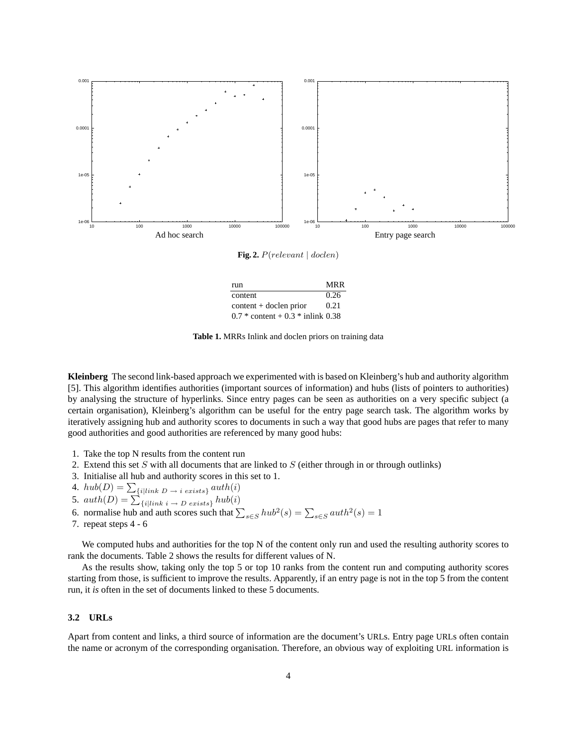

**Fig. 2.** P(relevant | doclen)

| run                                 | MRR  |
|-------------------------------------|------|
| content                             | 0.26 |
| $content + doclen prior$            | 0.21 |
| $0.7 *$ content + 0.3 * inlink 0.38 |      |

**Table 1.** MRRs Inlink and doclen priors on training data

**Kleinberg** The second link-based approach we experimented with is based on Kleinberg's hub and authority algorithm [5]. This algorithm identifies authorities (important sources of information) and hubs (lists of pointers to authorities) by analysing the structure of hyperlinks. Since entry pages can be seen as authorities on a very specific subject (a certain organisation), Kleinberg's algorithm can be useful for the entry page search task. The algorithm works by iteratively assigning hub and authority scores to documents in such a way that good hubs are pages that refer to many good authorities and good authorities are referenced by many good hubs:

- 1. Take the top N results from the content run
- 2. Extend this set S with all documents that are linked to  $S$  (either through in or through outlinks)
- 3. Initialise all hub and authority scores in this set to 1.
- 4.  $hub(D) = \sum_{\{i | link \ D \rightarrow i \ exists\}}auth(i)$
- 5.  $auth(D) = \sum_{\{i | link \ i \rightarrow D \ exists} } hub(i)$
- 6. normalise hub and auth scores such that  $\sum_{s \in S} h u b^2(s) = \sum_{s \in S} a u t h^2(s) = 1$
- 7. repeat steps 4 6

We computed hubs and authorities for the top N of the content only run and used the resulting authority scores to rank the documents. Table 2 shows the results for different values of N.

As the results show, taking only the top 5 or top 10 ranks from the content run and computing authority scores starting from those, is sufficient to improve the results. Apparently, if an entry page is not in the top 5 from the content run, it *is* often in the set of documents linked to these 5 documents.

### **3.2 URLs**

Apart from content and links, a third source of information are the document's URLs. Entry page URLs often contain the name or acronym of the corresponding organisation. Therefore, an obvious way of exploiting URL information is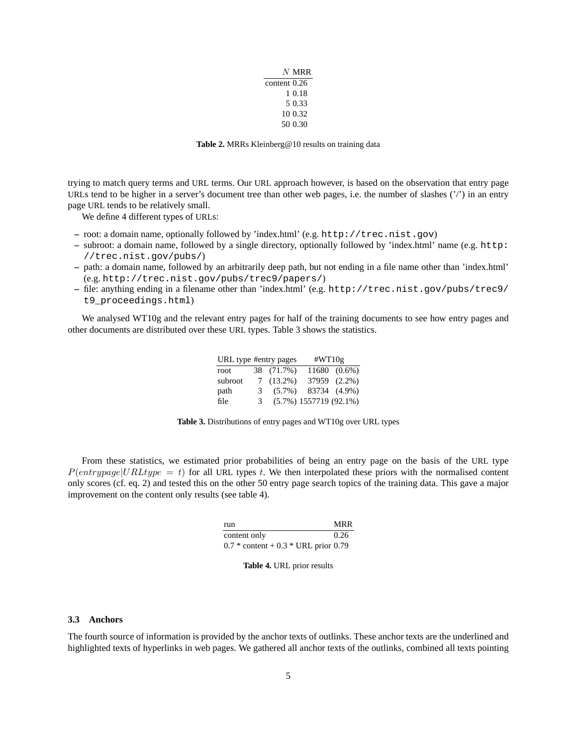|              | $N$ MRR |
|--------------|---------|
| content 0.26 |         |
|              | 1 0.18  |
|              | 5.0.33  |
|              | 10 0.32 |
|              | 50 0.30 |

**Table 2.** MRRs Kleinberg@10 results on training data

trying to match query terms and URL terms. Our URL approach however, is based on the observation that entry page URLs tend to be higher in a server's document tree than other web pages, i.e. the number of slashes  $('')$  in an entry page URL tends to be relatively small.

We define 4 different types of URLs:

- **–** root: a domain name, optionally followed by 'index.html' (e.g. http://trec.nist.gov)
- **–** subroot: a domain name, followed by a single directory, optionally followed by 'index.html' name (e.g. http: //trec.nist.gov/pubs/)
- **–** path: a domain name, followed by an arbitrarily deep path, but not ending in a file name other than 'index.html' (e.g. http://trec.nist.gov/pubs/trec9/papers/)
- **–** file: anything ending in a filename other than 'index.html' (e.g. http://trec.nist.gov/pubs/trec9/ t9\_proceedings.html)

We analysed WT10g and the relevant entry pages for half of the training documents to see how entry pages and other documents are distributed over these URL types. Table 3 shows the statistics.

| URL type #entry pages |   |             | # $WT10g$                  |              |
|-----------------------|---|-------------|----------------------------|--------------|
| root                  |   | 38 (71.7%)  |                            | 11680 (0.6%) |
| subroot               |   | $7(13.2\%)$ |                            | 37959 (2.2%) |
| path                  | 3 | $(5.7\%)$   |                            | 83734 (4.9%) |
| file                  | 3 |             | $(5.7\%) 1557719 (92.1\%)$ |              |

From these statistics, we estimated prior probabilities of being an entry page on the basis of the URL type  $P(entrypage|URLtype = t)$  for all URL types t. We then interpolated these priors with the normalised content only scores (cf. eq. 2) and tested this on the other 50 entry page search topics of the training data. This gave a major improvement on the content only results (see table 4).

| run                                    | <b>MRR</b> |
|----------------------------------------|------------|
| content only                           | 0.26       |
| $0.7 *$ content + 0.3 * URL prior 0.79 |            |

#### **Table 4.** URL prior results

#### **3.3 Anchors**

The fourth source of information is provided by the anchor texts of outlinks. These anchor texts are the underlined and highlighted texts of hyperlinks in web pages. We gathered all anchor texts of the outlinks, combined all texts pointing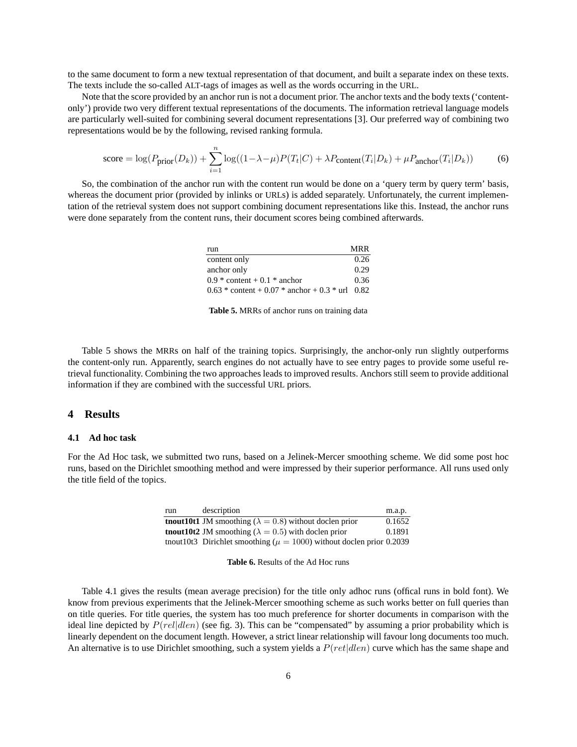to the same document to form a new textual representation of that document, and built a separate index on these texts. The texts include the so-called ALT-tags of images as well as the words occurring in the URL.

Note that the score provided by an anchor run is not a document prior. The anchor texts and the body texts ('contentonly') provide two very different textual representations of the documents. The information retrieval language models are particularly well-suited for combining several document representations [3]. Our preferred way of combining two representations would be by the following, revised ranking formula.

score = log
$$
(P_{\text{prior}}(D_k))
$$
 +  $\sum_{i=1}^{n} \log((1 - \lambda - \mu)P(T_t|C) + \lambda P_{\text{content}}(T_i|D_k) + \mu P_{\text{anchor}}(T_i|D_k))$  (6)

So, the combination of the anchor run with the content run would be done on a 'query term by query term' basis, whereas the document prior (provided by inlinks or URLs) is added separately. Unfortunately, the current implementation of the retrieval system does not support combining document representations like this. Instead, the anchor runs were done separately from the content runs, their document scores being combined afterwards.

| run                                               | <b>MRR</b> |
|---------------------------------------------------|------------|
| content only                                      | 0.26       |
| anchor only                                       | 0.29       |
| $0.9 *$ content + 0.1 * anchor                    | 0.36       |
| $0.63 *$ content + 0.07 * anchor + 0.3 * url 0.82 |            |

**Table 5.** MRRs of anchor runs on training data

Table 5 shows the MRRs on half of the training topics. Surprisingly, the anchor-only run slightly outperforms the content-only run. Apparently, search engines do not actually have to see entry pages to provide some useful retrieval functionality. Combining the two approaches leads to improved results. Anchors still seem to provide additional information if they are combined with the successful URL priors.

# **4 Results**

#### **4.1 Ad hoc task**

For the Ad Hoc task, we submitted two runs, based on a Jelinek-Mercer smoothing scheme. We did some post hoc runs, based on the Dirichlet smoothing method and were impressed by their superior performance. All runs used only the title field of the topics.

| run | description                                                                 | m.a.p. |
|-----|-----------------------------------------------------------------------------|--------|
|     | <b>thout 10t1</b> JM smoothing ( $\lambda = 0.8$ ) without doclen prior     | 0.1652 |
|     | <b>thout 10t2</b> JM smoothing ( $\lambda = 0.5$ ) with doclen prior        | 0.1891 |
|     | thout 10t3 Dirichlet smoothing ( $\mu = 1000$ ) without doclen prior 0.2039 |        |

Table 4.1 gives the results (mean average precision) for the title only adhoc runs (offical runs in bold font). We know from previous experiments that the Jelinek-Mercer smoothing scheme as such works better on full queries than on title queries. For title queries, the system has too much preference for shorter documents in comparison with the ideal line depicted by  $P(\text{rellden})$  (see fig. 3). This can be "compensated" by assuming a prior probability which is linearly dependent on the document length. However, a strict linear relationship will favour long documents too much. An alternative is to use Dirichlet smoothing, such a system yields a  $P(rt|den)$  curve which has the same shape and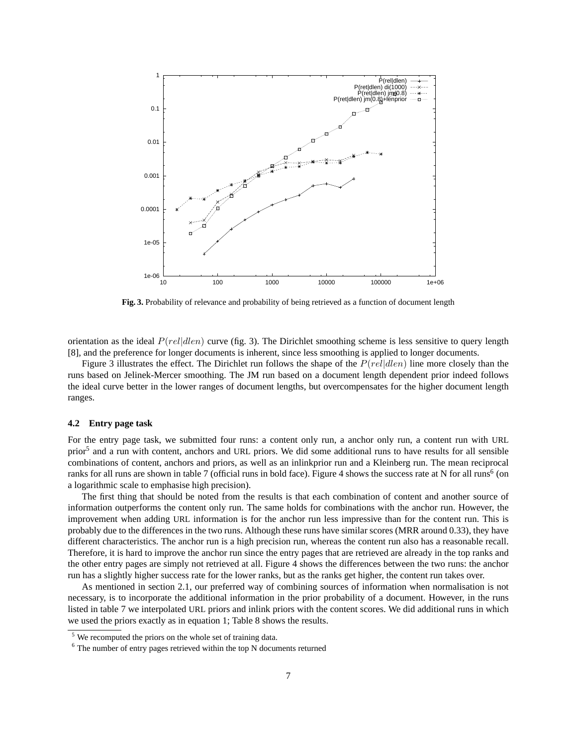

**Fig. 3.** Probability of relevance and probability of being retrieved as a function of document length

orientation as the ideal  $P(\text{rel}|\text{dlen})$  curve (fig. 3). The Dirichlet smoothing scheme is less sensitive to query length [8], and the preference for longer documents is inherent, since less smoothing is applied to longer documents.

Figure 3 illustrates the effect. The Dirichlet run follows the shape of the  $P(\text{rellden})$  line more closely than the runs based on Jelinek-Mercer smoothing. The JM run based on a document length dependent prior indeed follows the ideal curve better in the lower ranges of document lengths, but overcompensates for the higher document length ranges.

#### **4.2 Entry page task**

For the entry page task, we submitted four runs: a content only run, a anchor only run, a content run with URL prior<sup>5</sup> and a run with content, anchors and URL priors. We did some additional runs to have results for all sensible combinations of content, anchors and priors, as well as an inlinkprior run and a Kleinberg run. The mean reciprocal ranks for all runs are shown in table 7 (official runs in bold face). Figure 4 shows the success rate at N for all runs<sup>6</sup> (on a logarithmic scale to emphasise high precision).

The first thing that should be noted from the results is that each combination of content and another source of information outperforms the content only run. The same holds for combinations with the anchor run. However, the improvement when adding URL information is for the anchor run less impressive than for the content run. This is probably due to the differences in the two runs. Although these runs have similar scores (MRR around 0.33), they have different characteristics. The anchor run is a high precision run, whereas the content run also has a reasonable recall. Therefore, it is hard to improve the anchor run since the entry pages that are retrieved are already in the top ranks and the other entry pages are simply not retrieved at all. Figure 4 shows the differences between the two runs: the anchor run has a slightly higher success rate for the lower ranks, but as the ranks get higher, the content run takes over.

As mentioned in section 2.1, our preferred way of combining sources of information when normalisation is not necessary, is to incorporate the additional information in the prior probability of a document. However, in the runs listed in table 7 we interpolated URL priors and inlink priors with the content scores. We did additional runs in which we used the priors exactly as in equation 1; Table 8 shows the results.

 $<sup>5</sup>$  We recomputed the priors on the whole set of training data.</sup>

<sup>6</sup> The number of entry pages retrieved within the top N documents returned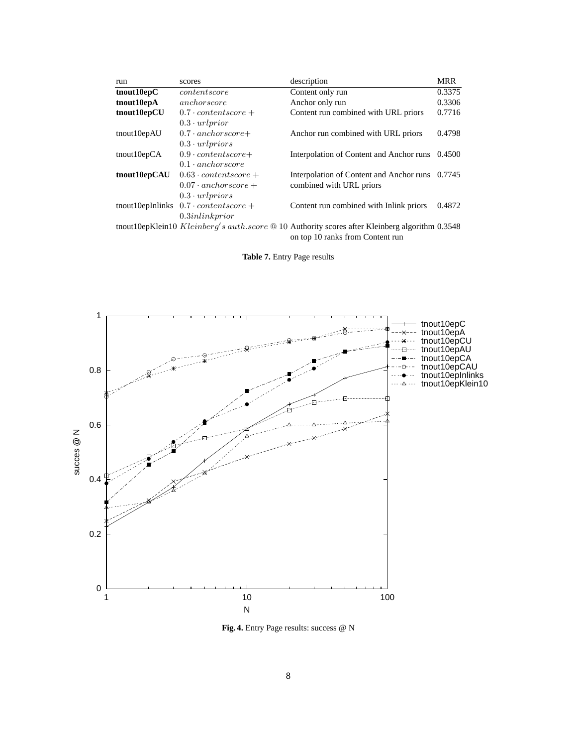| run            | scores                                                | description                                                                                                                          | <b>MRR</b> |
|----------------|-------------------------------------------------------|--------------------------------------------------------------------------------------------------------------------------------------|------------|
| tnout10epC     | content score                                         | Content only run                                                                                                                     | 0.3375     |
| tnout10epA     | anchorscore                                           | Anchor only run                                                                                                                      | 0.3306     |
| tnout10epCU    | $0.7 \cdot contentscore +$                            | Content run combined with URL priors                                                                                                 | 0.7716     |
|                | $0.3 \cdot url prior$                                 |                                                                                                                                      |            |
| tnout10epAU    | $0.7 \cdot$ anchorscore+                              | Anchor run combined with URL priors                                                                                                  | 0.4798     |
|                | $0.3 \cdot urlpriors$                                 |                                                                                                                                      |            |
| thout $10epCA$ | $0.9 \cdot contents core +$                           | Interpolation of Content and Anchor runs                                                                                             | 0.4500     |
|                | $0.1 \cdot$ anchorscore                               |                                                                                                                                      |            |
| tnout10epCAU   | $0.63 \cdot contentscore +$                           | Interpolation of Content and Anchor runs 0.7745                                                                                      |            |
|                | $0.07 \cdot$ anchorscore +                            | combined with URL priors                                                                                                             |            |
|                | $0.3 \cdot url priors$                                |                                                                                                                                      |            |
|                | tnout 10epIn links $0.7 \cdot \text{content score} +$ | Content run combined with Inlink priors                                                                                              | 0.4872     |
|                | 0.3 inlink prior                                      |                                                                                                                                      |            |
|                |                                                       | tnout10epKlein10 Kleinberg's auth.score $@$ 10 Authority scores after Kleinberg algorithm 0.3548<br>on top 10 ranks from Content run |            |

**Table 7.** Entry Page results



**Fig. 4.** Entry Page results: success @ N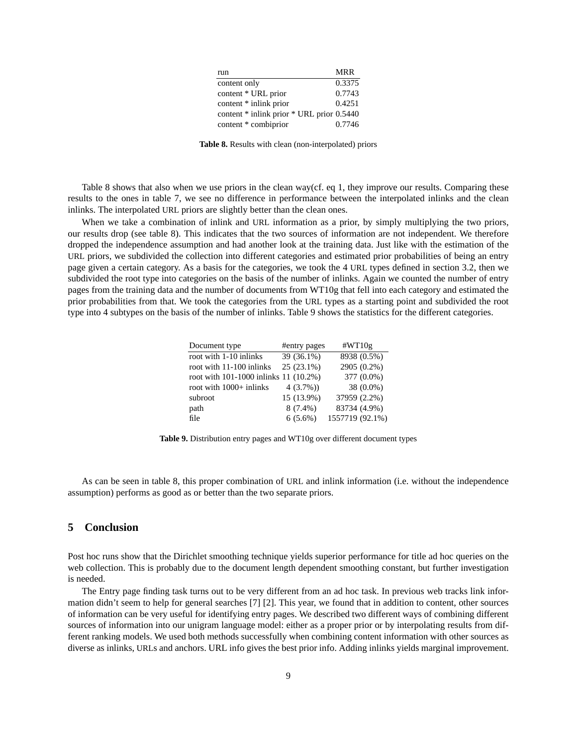| run                                       | <b>MRR</b> |
|-------------------------------------------|------------|
| content only                              | 0.3375     |
| content * URL prior                       | 0.7743     |
| content * inlink prior                    | 0.4251     |
| content * inlink prior * URL prior 0.5440 |            |
| content * combiprior                      | 0.7746     |

**Table 8.** Results with clean (non-interpolated) priors

Table 8 shows that also when we use priors in the clean way(cf. eq 1, they improve our results. Comparing these results to the ones in table 7, we see no difference in performance between the interpolated inlinks and the clean inlinks. The interpolated URL priors are slightly better than the clean ones.

When we take a combination of inlink and URL information as a prior, by simply multiplying the two priors, our results drop (see table 8). This indicates that the two sources of information are not independent. We therefore dropped the independence assumption and had another look at the training data. Just like with the estimation of the URL priors, we subdivided the collection into different categories and estimated prior probabilities of being an entry page given a certain category. As a basis for the categories, we took the 4 URL types defined in section 3.2, then we subdivided the root type into categories on the basis of the number of inlinks. Again we counted the number of entry pages from the training data and the number of documents from WT10g that fell into each category and estimated the prior probabilities from that. We took the categories from the URL types as a starting point and subdivided the root type into 4 subtypes on the basis of the number of inlinks. Table 9 shows the statistics for the different categories.

| Document type                         | #entry pages | #WT10g          |
|---------------------------------------|--------------|-----------------|
| root with 1-10 inlinks                | 39 (36.1%)   | 8938 (0.5%)     |
| root with 11-100 inlinks              | $25(23.1\%)$ | 2905 (0.2%)     |
| root with 101-1000 inlinks 11 (10.2%) |              | 377 (0.0%)      |
| root with 1000+ inlinks               | $4(3.7\%)$   | 38 (0.0%)       |
| subroot                               | 15 (13.9%)   | 37959 (2.2%)    |
| path                                  | $8(7.4\%)$   | 83734 (4.9%)    |
| file                                  | $6(5.6\%)$   | 1557719 (92.1%) |

**Table 9.** Distribution entry pages and WT10g over different document types

As can be seen in table 8, this proper combination of URL and inlink information (i.e. without the independence assumption) performs as good as or better than the two separate priors.

### **5 Conclusion**

Post hoc runs show that the Dirichlet smoothing technique yields superior performance for title ad hoc queries on the web collection. This is probably due to the document length dependent smoothing constant, but further investigation is needed.

The Entry page finding task turns out to be very different from an ad hoc task. In previous web tracks link information didn't seem to help for general searches [7] [2]. This year, we found that in addition to content, other sources of information can be very useful for identifying entry pages. We described two different ways of combining different sources of information into our unigram language model: either as a proper prior or by interpolating results from different ranking models. We used both methods successfully when combining content information with other sources as diverse as inlinks, URLs and anchors. URL info gives the best prior info. Adding inlinks yields marginal improvement.